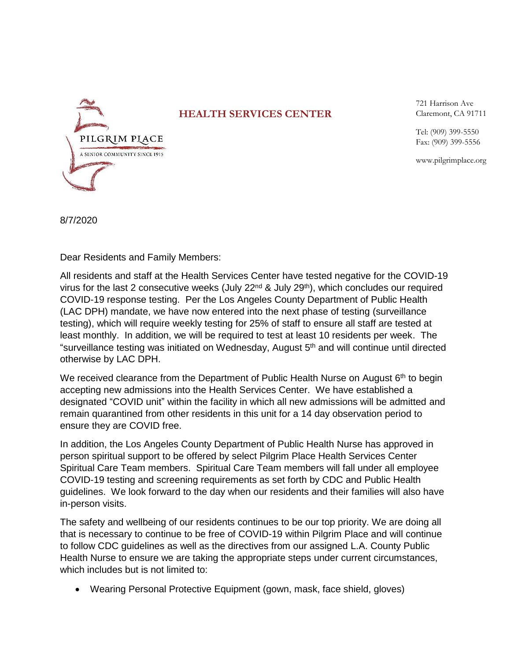

## **HEALTH SERVICES CENTER**

721 Harrison Ave Claremont, CA 91711

Tel: (909) 399-5550 Fax: (909) 399-5556

www.pilgrimplace.org

8/7/2020

Dear Residents and Family Members:

All residents and staff at the Health Services Center have tested negative for the COVID-19 virus for the last 2 consecutive weeks (July  $22^{nd}$  & July  $29^{th}$ ), which concludes our required COVID-19 response testing. Per the Los Angeles County Department of Public Health (LAC DPH) mandate, we have now entered into the next phase of testing (surveillance testing), which will require weekly testing for 25% of staff to ensure all staff are tested at least monthly. In addition, we will be required to test at least 10 residents per week. The "surveillance testing was initiated on Wednesday, August 5<sup>th</sup> and will continue until directed otherwise by LAC DPH.

We received clearance from the Department of Public Health Nurse on August 6<sup>th</sup> to begin accepting new admissions into the Health Services Center. We have established a designated "COVID unit" within the facility in which all new admissions will be admitted and remain quarantined from other residents in this unit for a 14 day observation period to ensure they are COVID free.

In addition, the Los Angeles County Department of Public Health Nurse has approved in person spiritual support to be offered by select Pilgrim Place Health Services Center Spiritual Care Team members. Spiritual Care Team members will fall under all employee COVID-19 testing and screening requirements as set forth by CDC and Public Health guidelines. We look forward to the day when our residents and their families will also have in-person visits.

The safety and wellbeing of our residents continues to be our top priority. We are doing all that is necessary to continue to be free of COVID-19 within Pilgrim Place and will continue to follow CDC guidelines as well as the directives from our assigned L.A. County Public Health Nurse to ensure we are taking the appropriate steps under current circumstances, which includes but is not limited to:

Wearing Personal Protective Equipment (gown, mask, face shield, gloves)